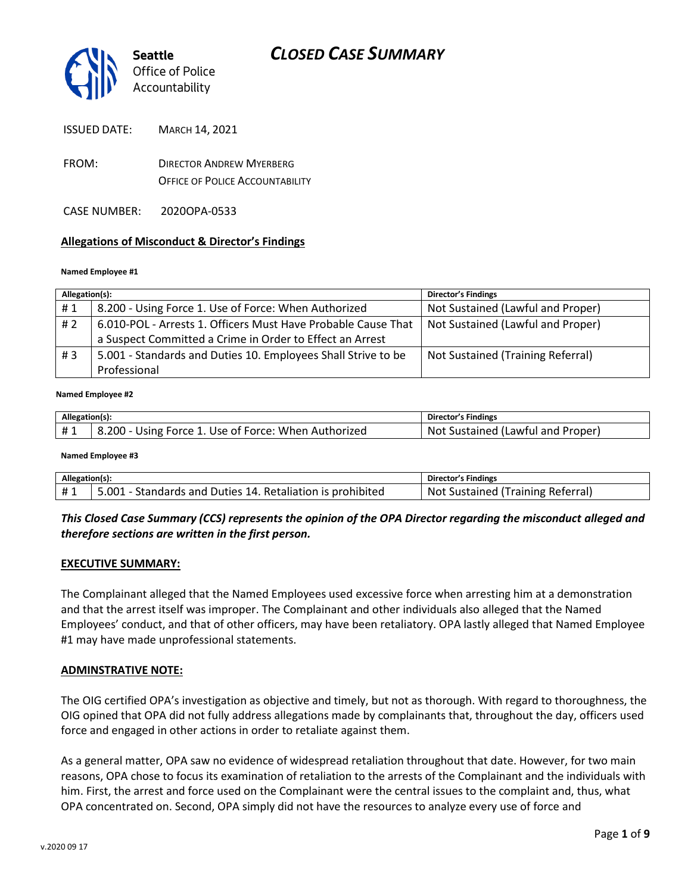

ISSUED DATE: MARCH 14, 2021

- FROM: DIRECTOR ANDREW MYERBERG OFFICE OF POLICE ACCOUNTABILITY
- CASE NUMBER: 2020OPA-0533

### **Allegations of Misconduct & Director's Findings**

#### **Named Employee #1**

| Allegation(s): |                                                               | <b>Director's Findings</b>        |
|----------------|---------------------------------------------------------------|-----------------------------------|
| #1             | 8.200 - Using Force 1. Use of Force: When Authorized          | Not Sustained (Lawful and Proper) |
| #2             | 6.010-POL - Arrests 1. Officers Must Have Probable Cause That | Not Sustained (Lawful and Proper) |
|                | a Suspect Committed a Crime in Order to Effect an Arrest      |                                   |
| #3             | 5.001 - Standards and Duties 10. Employees Shall Strive to be | Not Sustained (Training Referral) |
|                | Professional                                                  |                                   |

#### ؚ<br>ا **Named Employee #2**

| Allegation(s). |                                                      | <b>Director's Findings</b>        |
|----------------|------------------------------------------------------|-----------------------------------|
| #1             | 8.200 - Using Force 1. Use of Force: When Authorized | Not Sustained (Lawful and Proper) |

#### **Named Employee #3**

| Allegation(s): |                                                            | <b>Director's Findings</b>        |
|----------------|------------------------------------------------------------|-----------------------------------|
| #1             | 5.001 - Standards and Duties 14. Retaliation is prohibited | Not Sustained (Training Referral) |

### *This Closed Case Summary (CCS) represents the opinion of the OPA Director regarding the misconduct alleged and therefore sections are written in the first person.*

#### **EXECUTIVE SUMMARY:**

The Complainant alleged that the Named Employees used excessive force when arresting him at a demonstration and that the arrest itself was improper. The Complainant and other individuals also alleged that the Named Employees' conduct, and that of other officers, may have been retaliatory. OPA lastly alleged that Named Employee #1 may have made unprofessional statements.

#### **ADMINSTRATIVE NOTE:**

The OIG certified OPA's investigation as objective and timely, but not as thorough. With regard to thoroughness, the OIG opined that OPA did not fully address allegations made by complainants that, throughout the day, officers used force and engaged in other actions in order to retaliate against them.

As a general matter, OPA saw no evidence of widespread retaliation throughout that date. However, for two main reasons, OPA chose to focus its examination of retaliation to the arrests of the Complainant and the individuals with him. First, the arrest and force used on the Complainant were the central issues to the complaint and, thus, what OPA concentrated on. Second, OPA simply did not have the resources to analyze every use of force and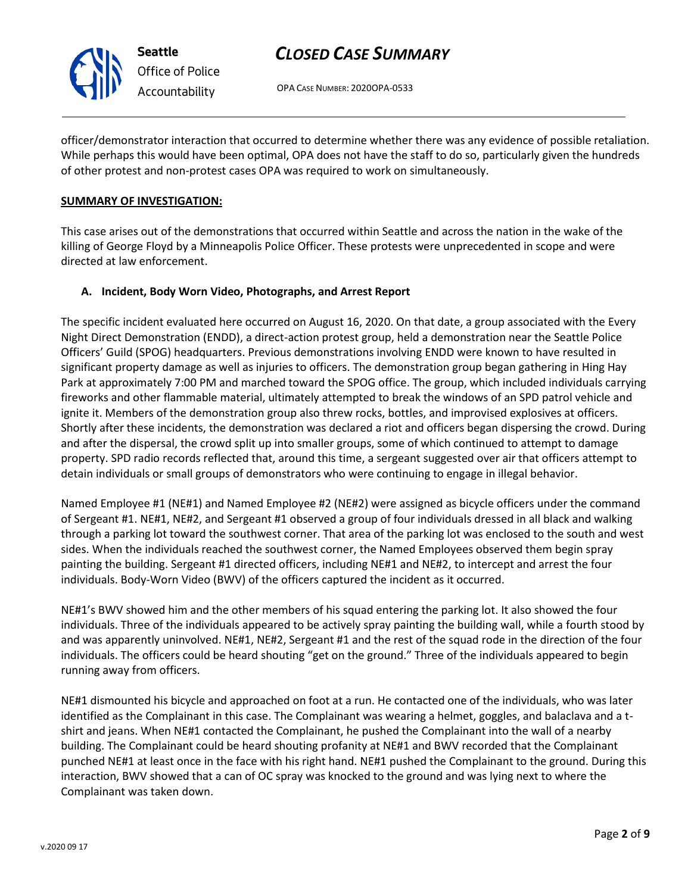

OPA CASE NUMBER: 2020OPA-0533

officer/demonstrator interaction that occurred to determine whether there was any evidence of possible retaliation. While perhaps this would have been optimal, OPA does not have the staff to do so, particularly given the hundreds of other protest and non-protest cases OPA was required to work on simultaneously.

### **SUMMARY OF INVESTIGATION:**

This case arises out of the demonstrations that occurred within Seattle and across the nation in the wake of the killing of George Floyd by a Minneapolis Police Officer. These protests were unprecedented in scope and were directed at law enforcement.

### **A. Incident, Body Worn Video, Photographs, and Arrest Report**

The specific incident evaluated here occurred on August 16, 2020. On that date, a group associated with the Every Night Direct Demonstration (ENDD), a direct-action protest group, held a demonstration near the Seattle Police Officers' Guild (SPOG) headquarters. Previous demonstrations involving ENDD were known to have resulted in significant property damage as well as injuries to officers. The demonstration group began gathering in Hing Hay Park at approximately 7:00 PM and marched toward the SPOG office. The group, which included individuals carrying fireworks and other flammable material, ultimately attempted to break the windows of an SPD patrol vehicle and ignite it. Members of the demonstration group also threw rocks, bottles, and improvised explosives at officers. Shortly after these incidents, the demonstration was declared a riot and officers began dispersing the crowd. During and after the dispersal, the crowd split up into smaller groups, some of which continued to attempt to damage property. SPD radio records reflected that, around this time, a sergeant suggested over air that officers attempt to detain individuals or small groups of demonstrators who were continuing to engage in illegal behavior.

Named Employee #1 (NE#1) and Named Employee #2 (NE#2) were assigned as bicycle officers under the command of Sergeant #1. NE#1, NE#2, and Sergeant #1 observed a group of four individuals dressed in all black and walking through a parking lot toward the southwest corner. That area of the parking lot was enclosed to the south and west sides. When the individuals reached the southwest corner, the Named Employees observed them begin spray painting the building. Sergeant #1 directed officers, including NE#1 and NE#2, to intercept and arrest the four individuals. Body-Worn Video (BWV) of the officers captured the incident as it occurred.

NE#1's BWV showed him and the other members of his squad entering the parking lot. It also showed the four individuals. Three of the individuals appeared to be actively spray painting the building wall, while a fourth stood by and was apparently uninvolved. NE#1, NE#2, Sergeant #1 and the rest of the squad rode in the direction of the four individuals. The officers could be heard shouting "get on the ground." Three of the individuals appeared to begin running away from officers.

NE#1 dismounted his bicycle and approached on foot at a run. He contacted one of the individuals, who was later identified as the Complainant in this case. The Complainant was wearing a helmet, goggles, and balaclava and a tshirt and jeans. When NE#1 contacted the Complainant, he pushed the Complainant into the wall of a nearby building. The Complainant could be heard shouting profanity at NE#1 and BWV recorded that the Complainant punched NE#1 at least once in the face with his right hand. NE#1 pushed the Complainant to the ground. During this interaction, BWV showed that a can of OC spray was knocked to the ground and was lying next to where the Complainant was taken down.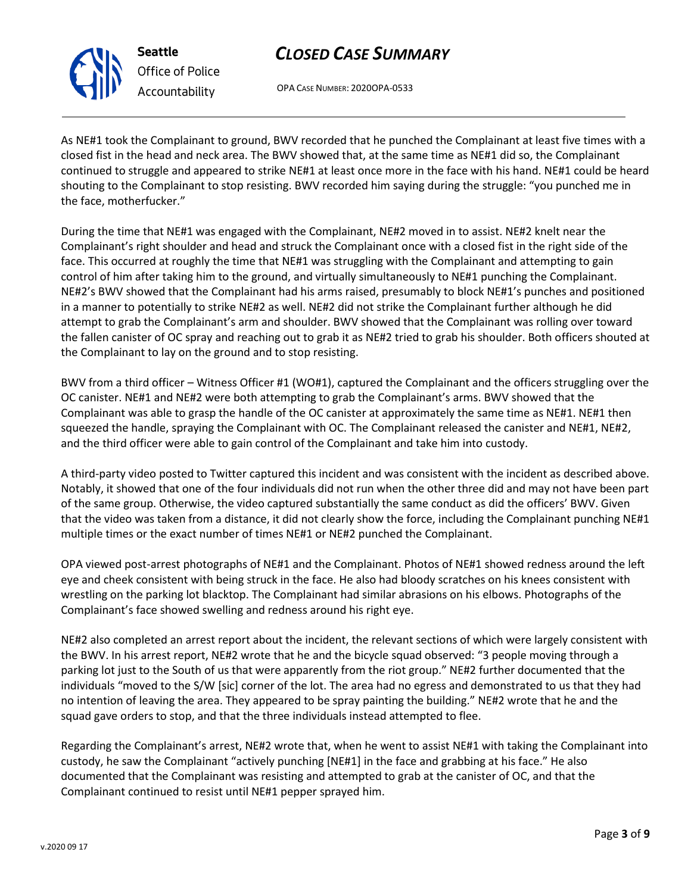OPA CASE NUMBER: 2020OPA-0533

As NE#1 took the Complainant to ground, BWV recorded that he punched the Complainant at least five times with a closed fist in the head and neck area. The BWV showed that, at the same time as NE#1 did so, the Complainant continued to struggle and appeared to strike NE#1 at least once more in the face with his hand. NE#1 could be heard shouting to the Complainant to stop resisting. BWV recorded him saying during the struggle: "you punched me in the face, motherfucker."

During the time that NE#1 was engaged with the Complainant, NE#2 moved in to assist. NE#2 knelt near the Complainant's right shoulder and head and struck the Complainant once with a closed fist in the right side of the face. This occurred at roughly the time that NE#1 was struggling with the Complainant and attempting to gain control of him after taking him to the ground, and virtually simultaneously to NE#1 punching the Complainant. NE#2's BWV showed that the Complainant had his arms raised, presumably to block NE#1's punches and positioned in a manner to potentially to strike NE#2 as well. NE#2 did not strike the Complainant further although he did attempt to grab the Complainant's arm and shoulder. BWV showed that the Complainant was rolling over toward the fallen canister of OC spray and reaching out to grab it as NE#2 tried to grab his shoulder. Both officers shouted at the Complainant to lay on the ground and to stop resisting.

BWV from a third officer – Witness Officer #1 (WO#1), captured the Complainant and the officers struggling over the OC canister. NE#1 and NE#2 were both attempting to grab the Complainant's arms. BWV showed that the Complainant was able to grasp the handle of the OC canister at approximately the same time as NE#1. NE#1 then squeezed the handle, spraying the Complainant with OC. The Complainant released the canister and NE#1, NE#2, and the third officer were able to gain control of the Complainant and take him into custody.

A third-party video posted to Twitter captured this incident and was consistent with the incident as described above. Notably, it showed that one of the four individuals did not run when the other three did and may not have been part of the same group. Otherwise, the video captured substantially the same conduct as did the officers' BWV. Given that the video was taken from a distance, it did not clearly show the force, including the Complainant punching NE#1 multiple times or the exact number of times NE#1 or NE#2 punched the Complainant.

OPA viewed post-arrest photographs of NE#1 and the Complainant. Photos of NE#1 showed redness around the left eye and cheek consistent with being struck in the face. He also had bloody scratches on his knees consistent with wrestling on the parking lot blacktop. The Complainant had similar abrasions on his elbows. Photographs of the Complainant's face showed swelling and redness around his right eye.

NE#2 also completed an arrest report about the incident, the relevant sections of which were largely consistent with the BWV. In his arrest report, NE#2 wrote that he and the bicycle squad observed: "3 people moving through a parking lot just to the South of us that were apparently from the riot group." NE#2 further documented that the individuals "moved to the S/W [sic] corner of the lot. The area had no egress and demonstrated to us that they had no intention of leaving the area. They appeared to be spray painting the building." NE#2 wrote that he and the squad gave orders to stop, and that the three individuals instead attempted to flee.

Regarding the Complainant's arrest, NE#2 wrote that, when he went to assist NE#1 with taking the Complainant into custody, he saw the Complainant "actively punching [NE#1] in the face and grabbing at his face." He also documented that the Complainant was resisting and attempted to grab at the canister of OC, and that the Complainant continued to resist until NE#1 pepper sprayed him.



**Seattle** *Office of Police Accountability*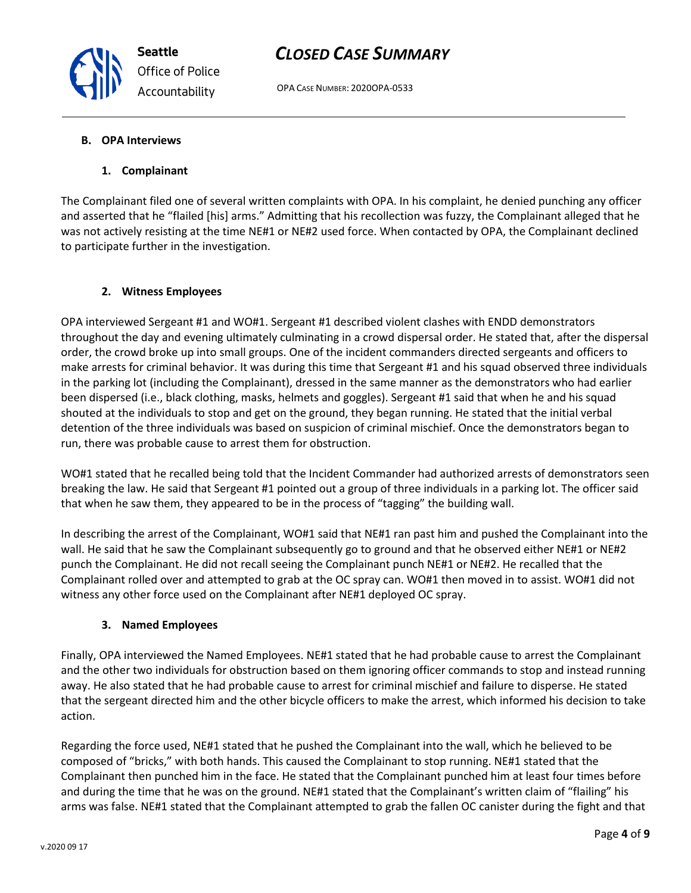OPA CASE NUMBER: 2020OPA-0533

### **B. OPA Interviews**

### **1. Complainant**

The Complainant filed one of several written complaints with OPA. In his complaint, he denied punching any officer and asserted that he "flailed [his] arms." Admitting that his recollection was fuzzy, the Complainant alleged that he was not actively resisting at the time NE#1 or NE#2 used force. When contacted by OPA, the Complainant declined to participate further in the investigation.

### **2. Witness Employees**

OPA interviewed Sergeant #1 and WO#1. Sergeant #1 described violent clashes with ENDD demonstrators throughout the day and evening ultimately culminating in a crowd dispersal order. He stated that, after the dispersal order, the crowd broke up into small groups. One of the incident commanders directed sergeants and officers to make arrests for criminal behavior. It was during this time that Sergeant #1 and his squad observed three individuals in the parking lot (including the Complainant), dressed in the same manner as the demonstrators who had earlier been dispersed (i.e., black clothing, masks, helmets and goggles). Sergeant #1 said that when he and his squad shouted at the individuals to stop and get on the ground, they began running. He stated that the initial verbal detention of the three individuals was based on suspicion of criminal mischief. Once the demonstrators began to run, there was probable cause to arrest them for obstruction.

WO#1 stated that he recalled being told that the Incident Commander had authorized arrests of demonstrators seen breaking the law. He said that Sergeant #1 pointed out a group of three individuals in a parking lot. The officer said that when he saw them, they appeared to be in the process of "tagging" the building wall.

In describing the arrest of the Complainant, WO#1 said that NE#1 ran past him and pushed the Complainant into the wall. He said that he saw the Complainant subsequently go to ground and that he observed either NE#1 or NE#2 punch the Complainant. He did not recall seeing the Complainant punch NE#1 or NE#2. He recalled that the Complainant rolled over and attempted to grab at the OC spray can. WO#1 then moved in to assist. WO#1 did not witness any other force used on the Complainant after NE#1 deployed OC spray.

#### **3. Named Employees**

Finally, OPA interviewed the Named Employees. NE#1 stated that he had probable cause to arrest the Complainant and the other two individuals for obstruction based on them ignoring officer commands to stop and instead running away. He also stated that he had probable cause to arrest for criminal mischief and failure to disperse. He stated that the sergeant directed him and the other bicycle officers to make the arrest, which informed his decision to take action.

Regarding the force used, NE#1 stated that he pushed the Complainant into the wall, which he believed to be composed of "bricks," with both hands. This caused the Complainant to stop running. NE#1 stated that the Complainant then punched him in the face. He stated that the Complainant punched him at least four times before and during the time that he was on the ground. NE#1 stated that the Complainant's written claim of "flailing" his arms was false. NE#1 stated that the Complainant attempted to grab the fallen OC canister during the fight and that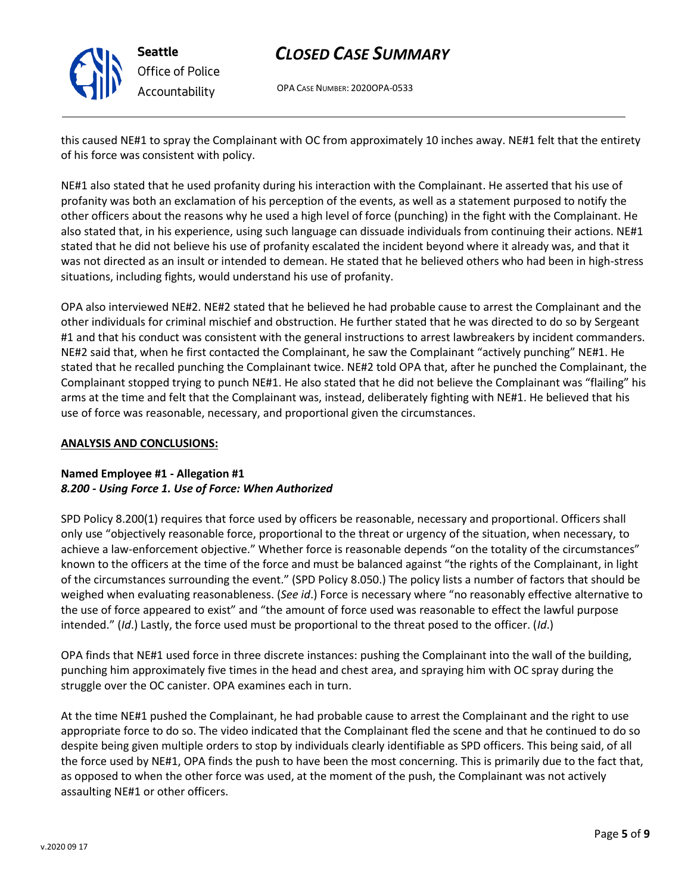

**Seattle** *Office of Police Accountability*

# *CLOSED CASE SUMMARY*

OPA CASE NUMBER: 2020OPA-0533

this caused NE#1 to spray the Complainant with OC from approximately 10 inches away. NE#1 felt that the entirety of his force was consistent with policy.

NE#1 also stated that he used profanity during his interaction with the Complainant. He asserted that his use of profanity was both an exclamation of his perception of the events, as well as a statement purposed to notify the other officers about the reasons why he used a high level of force (punching) in the fight with the Complainant. He also stated that, in his experience, using such language can dissuade individuals from continuing their actions. NE#1 stated that he did not believe his use of profanity escalated the incident beyond where it already was, and that it was not directed as an insult or intended to demean. He stated that he believed others who had been in high-stress situations, including fights, would understand his use of profanity.

OPA also interviewed NE#2. NE#2 stated that he believed he had probable cause to arrest the Complainant and the other individuals for criminal mischief and obstruction. He further stated that he was directed to do so by Sergeant #1 and that his conduct was consistent with the general instructions to arrest lawbreakers by incident commanders. NE#2 said that, when he first contacted the Complainant, he saw the Complainant "actively punching" NE#1. He stated that he recalled punching the Complainant twice. NE#2 told OPA that, after he punched the Complainant, the Complainant stopped trying to punch NE#1. He also stated that he did not believe the Complainant was "flailing" his arms at the time and felt that the Complainant was, instead, deliberately fighting with NE#1. He believed that his use of force was reasonable, necessary, and proportional given the circumstances.

### **ANALYSIS AND CONCLUSIONS:**

### **Named Employee #1 - Allegation #1** *8.200 - Using Force 1. Use of Force: When Authorized*

SPD Policy 8.200(1) requires that force used by officers be reasonable, necessary and proportional. Officers shall only use "objectively reasonable force, proportional to the threat or urgency of the situation, when necessary, to achieve a law-enforcement objective." Whether force is reasonable depends "on the totality of the circumstances" known to the officers at the time of the force and must be balanced against "the rights of the Complainant, in light of the circumstances surrounding the event." (SPD Policy 8.050.) The policy lists a number of factors that should be weighed when evaluating reasonableness. (*See id*.) Force is necessary where "no reasonably effective alternative to the use of force appeared to exist" and "the amount of force used was reasonable to effect the lawful purpose intended." (*Id*.) Lastly, the force used must be proportional to the threat posed to the officer. (*Id*.)

OPA finds that NE#1 used force in three discrete instances: pushing the Complainant into the wall of the building, punching him approximately five times in the head and chest area, and spraying him with OC spray during the struggle over the OC canister. OPA examines each in turn.

At the time NE#1 pushed the Complainant, he had probable cause to arrest the Complainant and the right to use appropriate force to do so. The video indicated that the Complainant fled the scene and that he continued to do so despite being given multiple orders to stop by individuals clearly identifiable as SPD officers. This being said, of all the force used by NE#1, OPA finds the push to have been the most concerning. This is primarily due to the fact that, as opposed to when the other force was used, at the moment of the push, the Complainant was not actively assaulting NE#1 or other officers.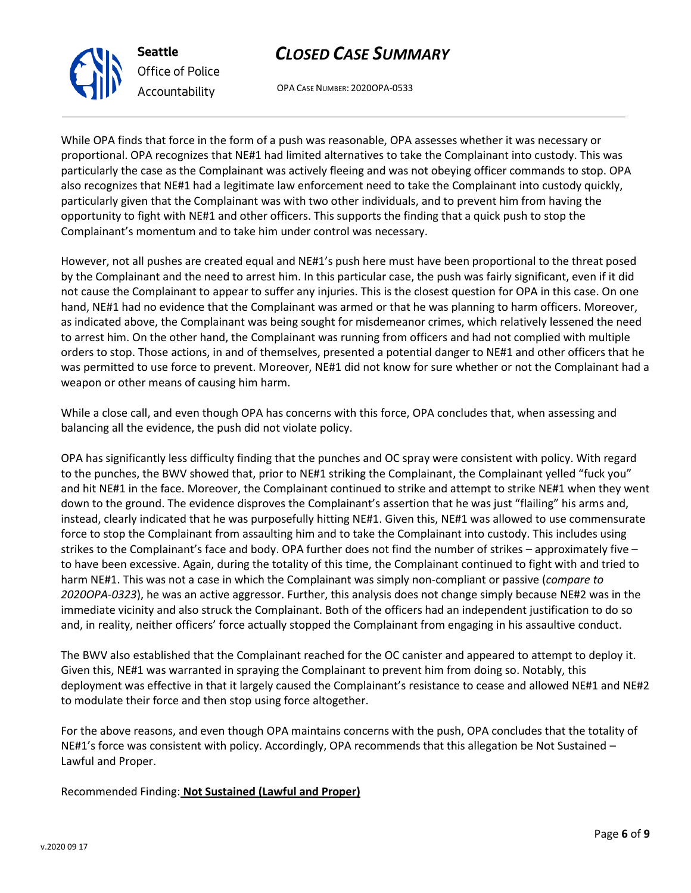OPA CASE NUMBER: 2020OPA-0533

While OPA finds that force in the form of a push was reasonable, OPA assesses whether it was necessary or proportional. OPA recognizes that NE#1 had limited alternatives to take the Complainant into custody. This was particularly the case as the Complainant was actively fleeing and was not obeying officer commands to stop. OPA also recognizes that NE#1 had a legitimate law enforcement need to take the Complainant into custody quickly, particularly given that the Complainant was with two other individuals, and to prevent him from having the opportunity to fight with NE#1 and other officers. This supports the finding that a quick push to stop the Complainant's momentum and to take him under control was necessary.

However, not all pushes are created equal and NE#1's push here must have been proportional to the threat posed by the Complainant and the need to arrest him. In this particular case, the push was fairly significant, even if it did not cause the Complainant to appear to suffer any injuries. This is the closest question for OPA in this case. On one hand, NE#1 had no evidence that the Complainant was armed or that he was planning to harm officers. Moreover, as indicated above, the Complainant was being sought for misdemeanor crimes, which relatively lessened the need to arrest him. On the other hand, the Complainant was running from officers and had not complied with multiple orders to stop. Those actions, in and of themselves, presented a potential danger to NE#1 and other officers that he was permitted to use force to prevent. Moreover, NE#1 did not know for sure whether or not the Complainant had a weapon or other means of causing him harm.

While a close call, and even though OPA has concerns with this force, OPA concludes that, when assessing and balancing all the evidence, the push did not violate policy.

OPA has significantly less difficulty finding that the punches and OC spray were consistent with policy. With regard to the punches, the BWV showed that, prior to NE#1 striking the Complainant, the Complainant yelled "fuck you" and hit NE#1 in the face. Moreover, the Complainant continued to strike and attempt to strike NE#1 when they went down to the ground. The evidence disproves the Complainant's assertion that he was just "flailing" his arms and, instead, clearly indicated that he was purposefully hitting NE#1. Given this, NE#1 was allowed to use commensurate force to stop the Complainant from assaulting him and to take the Complainant into custody. This includes using strikes to the Complainant's face and body. OPA further does not find the number of strikes – approximately five – to have been excessive. Again, during the totality of this time, the Complainant continued to fight with and tried to harm NE#1. This was not a case in which the Complainant was simply non-compliant or passive (*compare to 2020OPA-0323*), he was an active aggressor. Further, this analysis does not change simply because NE#2 was in the immediate vicinity and also struck the Complainant. Both of the officers had an independent justification to do so and, in reality, neither officers' force actually stopped the Complainant from engaging in his assaultive conduct.

The BWV also established that the Complainant reached for the OC canister and appeared to attempt to deploy it. Given this, NE#1 was warranted in spraying the Complainant to prevent him from doing so. Notably, this deployment was effective in that it largely caused the Complainant's resistance to cease and allowed NE#1 and NE#2 to modulate their force and then stop using force altogether.

For the above reasons, and even though OPA maintains concerns with the push, OPA concludes that the totality of NE#1's force was consistent with policy. Accordingly, OPA recommends that this allegation be Not Sustained – Lawful and Proper.

Recommended Finding: **Not Sustained (Lawful and Proper)**



**Seattle**

*Office of Police Accountability*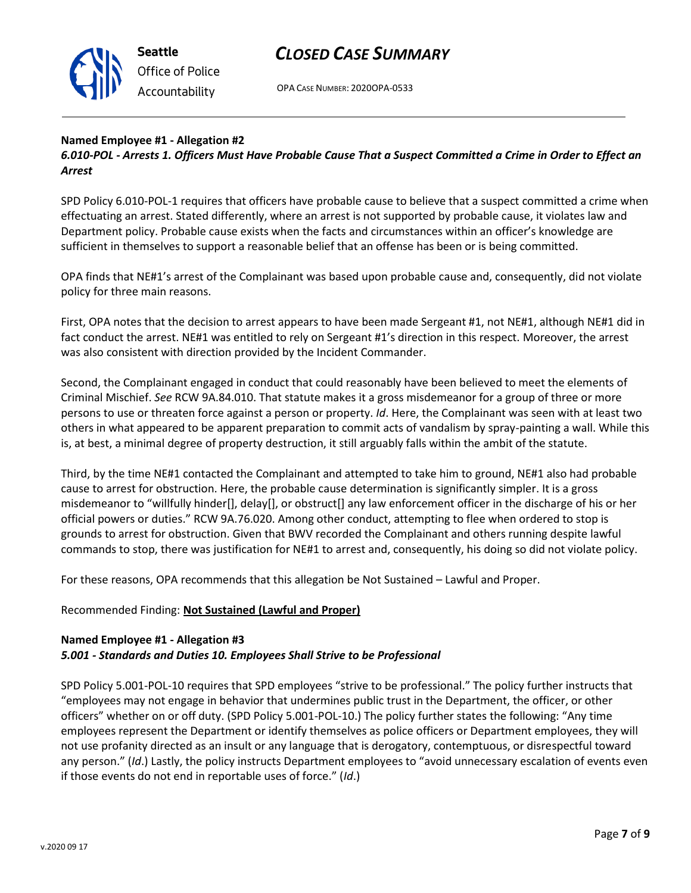

OPA CASE NUMBER: 2020OPA-0533

### **Named Employee #1 - Allegation #2**

*6.010-POL - Arrests 1. Officers Must Have Probable Cause That a Suspect Committed a Crime in Order to Effect an Arrest*

SPD Policy 6.010-POL-1 requires that officers have probable cause to believe that a suspect committed a crime when effectuating an arrest. Stated differently, where an arrest is not supported by probable cause, it violates law and Department policy. Probable cause exists when the facts and circumstances within an officer's knowledge are sufficient in themselves to support a reasonable belief that an offense has been or is being committed.

OPA finds that NE#1's arrest of the Complainant was based upon probable cause and, consequently, did not violate policy for three main reasons.

First, OPA notes that the decision to arrest appears to have been made Sergeant #1, not NE#1, although NE#1 did in fact conduct the arrest. NE#1 was entitled to rely on Sergeant #1's direction in this respect. Moreover, the arrest was also consistent with direction provided by the Incident Commander.

Second, the Complainant engaged in conduct that could reasonably have been believed to meet the elements of Criminal Mischief. *See* RCW 9A.84.010. That statute makes it a gross misdemeanor for a group of three or more persons to use or threaten force against a person or property. *Id*. Here, the Complainant was seen with at least two others in what appeared to be apparent preparation to commit acts of vandalism by spray-painting a wall. While this is, at best, a minimal degree of property destruction, it still arguably falls within the ambit of the statute.

Third, by the time NE#1 contacted the Complainant and attempted to take him to ground, NE#1 also had probable cause to arrest for obstruction. Here, the probable cause determination is significantly simpler. It is a gross misdemeanor to "willfully hinder[], delay[], or obstruct[] any law enforcement officer in the discharge of his or her official powers or duties." RCW 9A.76.020. Among other conduct, attempting to flee when ordered to stop is grounds to arrest for obstruction. Given that BWV recorded the Complainant and others running despite lawful commands to stop, there was justification for NE#1 to arrest and, consequently, his doing so did not violate policy.

For these reasons, OPA recommends that this allegation be Not Sustained – Lawful and Proper.

### Recommended Finding: **Not Sustained (Lawful and Proper)**

### **Named Employee #1 - Allegation #3** *5.001 - Standards and Duties 10. Employees Shall Strive to be Professional*

SPD Policy 5.001-POL-10 requires that SPD employees "strive to be professional." The policy further instructs that "employees may not engage in behavior that undermines public trust in the Department, the officer, or other officers" whether on or off duty. (SPD Policy 5.001-POL-10.) The policy further states the following: "Any time employees represent the Department or identify themselves as police officers or Department employees, they will not use profanity directed as an insult or any language that is derogatory, contemptuous, or disrespectful toward any person." (*Id*.) Lastly, the policy instructs Department employees to "avoid unnecessary escalation of events even if those events do not end in reportable uses of force." (*Id*.)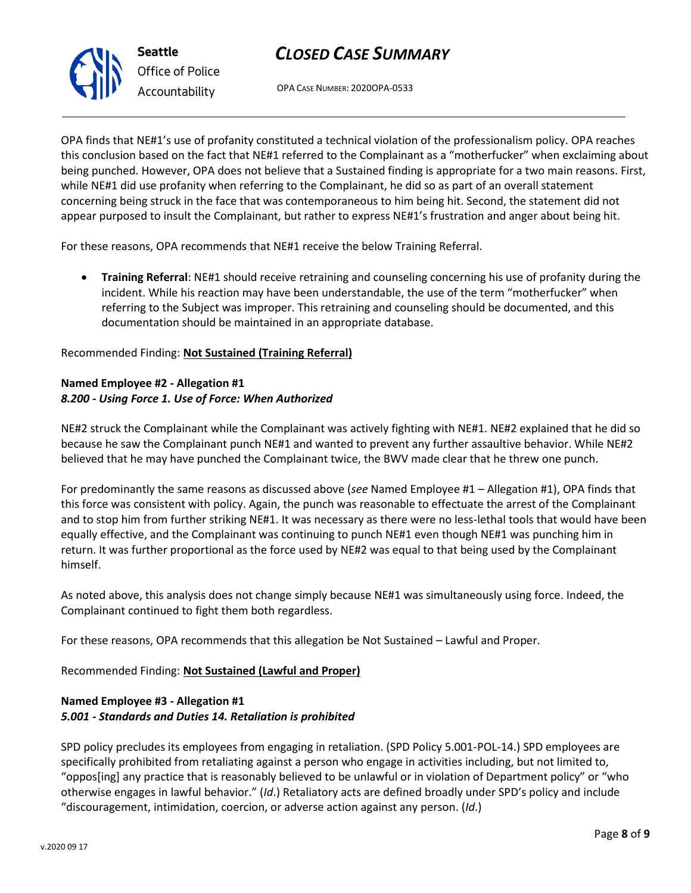OPA CASE NUMBER: 2020OPA-0533

OPA finds that NE#1's use of profanity constituted a technical violation of the professionalism policy. OPA reaches this conclusion based on the fact that NE#1 referred to the Complainant as a "motherfucker" when exclaiming about being punched. However, OPA does not believe that a Sustained finding is appropriate for a two main reasons. First, while NE#1 did use profanity when referring to the Complainant, he did so as part of an overall statement concerning being struck in the face that was contemporaneous to him being hit. Second, the statement did not appear purposed to insult the Complainant, but rather to express NE#1's frustration and anger about being hit.

For these reasons, OPA recommends that NE#1 receive the below Training Referral.

• **Training Referral**: NE#1 should receive retraining and counseling concerning his use of profanity during the incident. While his reaction may have been understandable, the use of the term "motherfucker" when referring to the Subject was improper. This retraining and counseling should be documented, and this documentation should be maintained in an appropriate database.

### Recommended Finding: **Not Sustained (Training Referral)**

### **Named Employee #2 - Allegation #1** *8.200 - Using Force 1. Use of Force: When Authorized*

NE#2 struck the Complainant while the Complainant was actively fighting with NE#1. NE#2 explained that he did so because he saw the Complainant punch NE#1 and wanted to prevent any further assaultive behavior. While NE#2 believed that he may have punched the Complainant twice, the BWV made clear that he threw one punch.

For predominantly the same reasons as discussed above (*see* Named Employee #1 – Allegation #1), OPA finds that this force was consistent with policy. Again, the punch was reasonable to effectuate the arrest of the Complainant and to stop him from further striking NE#1. It was necessary as there were no less-lethal tools that would have been equally effective, and the Complainant was continuing to punch NE#1 even though NE#1 was punching him in return. It was further proportional as the force used by NE#2 was equal to that being used by the Complainant himself.

As noted above, this analysis does not change simply because NE#1 was simultaneously using force. Indeed, the Complainant continued to fight them both regardless.

For these reasons, OPA recommends that this allegation be Not Sustained – Lawful and Proper.

Recommended Finding: **Not Sustained (Lawful and Proper)**

### **Named Employee #3 - Allegation #1** *5.001 - Standards and Duties 14. Retaliation is prohibited*

SPD policy precludes its employees from engaging in retaliation. (SPD Policy 5.001-POL-14.) SPD employees are specifically prohibited from retaliating against a person who engage in activities including, but not limited to, "oppos[ing] any practice that is reasonably believed to be unlawful or in violation of Department policy" or "who otherwise engages in lawful behavior." (*Id*.) Retaliatory acts are defined broadly under SPD's policy and include "discouragement, intimidation, coercion, or adverse action against any person. (*Id*.)



**Seattle** *Office of Police Accountability*